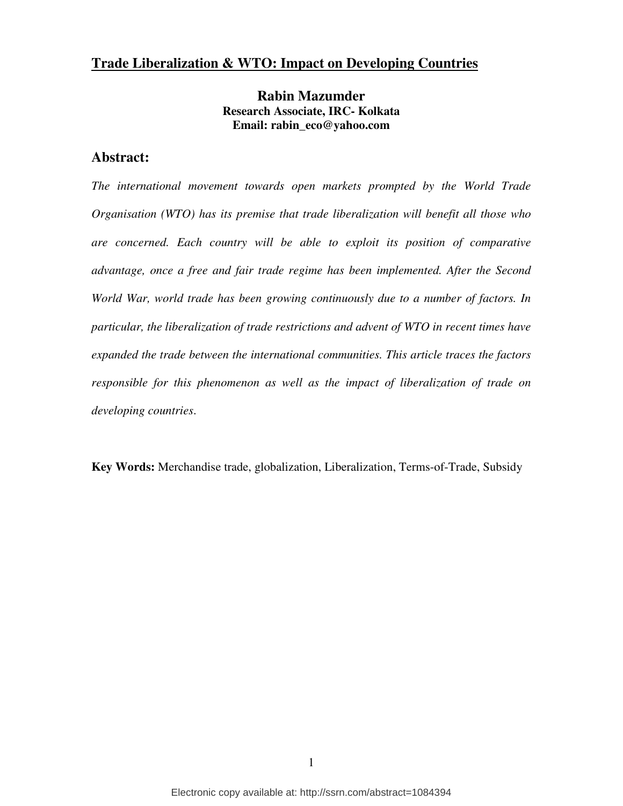# **Trade Liberalization & WTO: Impact on Developing Countries**

**Rabin Mazumder Research Associate, IRC- Kolkata Email: rabin\_eco@yahoo.com**

# **Abstract:**

*The international movement towards open markets prompted by the World Trade Organisation (WTO) has its premise that trade liberalization will benefit all those who are concerned. Each country will be able to exploit its position of comparative advantage, once a free and fair trade regime has been implemented. After the Second World War, world trade has been growing continuously due to a number of factors. In particular, the liberalization of trade restrictions and advent of WTO in recent times have expanded the trade between the international communities. This article traces the factors responsible for this phenomenon as well as the impact of liberalization of trade on developing countries*.

**Key Words:** Merchandise trade, globalization, Liberalization, Terms-of-Trade, Subsidy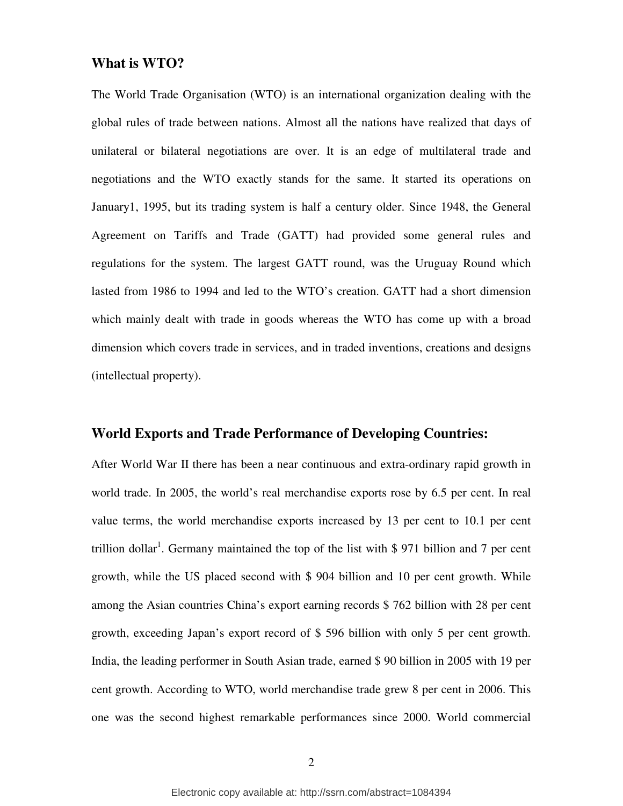#### **What is WTO?**

The World Trade Organisation (WTO) is an international organization dealing with the global rules of trade between nations. Almost all the nations have realized that days of unilateral or bilateral negotiations are over. It is an edge of multilateral trade and negotiations and the WTO exactly stands for the same. It started its operations on January1, 1995, but its trading system is half a century older. Since 1948, the General Agreement on Tariffs and Trade (GATT) had provided some general rules and regulations for the system. The largest GATT round, was the Uruguay Round which lasted from 1986 to 1994 and led to the WTO's creation. GATT had a short dimension which mainly dealt with trade in goods whereas the WTO has come up with a broad dimension which covers trade in services, and in traded inventions, creations and designs (intellectual property).

## **World Exports and Trade Performance of Developing Countries:**

After World War II there has been a near continuous and extra-ordinary rapid growth in world trade. In 2005, the world's real merchandise exports rose by 6.5 per cent. In real value terms, the world merchandise exports increased by 13 per cent to 10.1 per cent trillion dollar<sup>1</sup>. Germany maintained the top of the list with \$971 billion and 7 per cent growth, while the US placed second with \$ 904 billion and 10 per cent growth. While among the Asian countries China's export earning records \$ 762 billion with 28 per cent growth, exceeding Japan's export record of \$ 596 billion with only 5 per cent growth. India, the leading performer in South Asian trade, earned \$ 90 billion in 2005 with 19 per cent growth. According to WTO, world merchandise trade grew 8 per cent in 2006. This one was the second highest remarkable performances since 2000. World commercial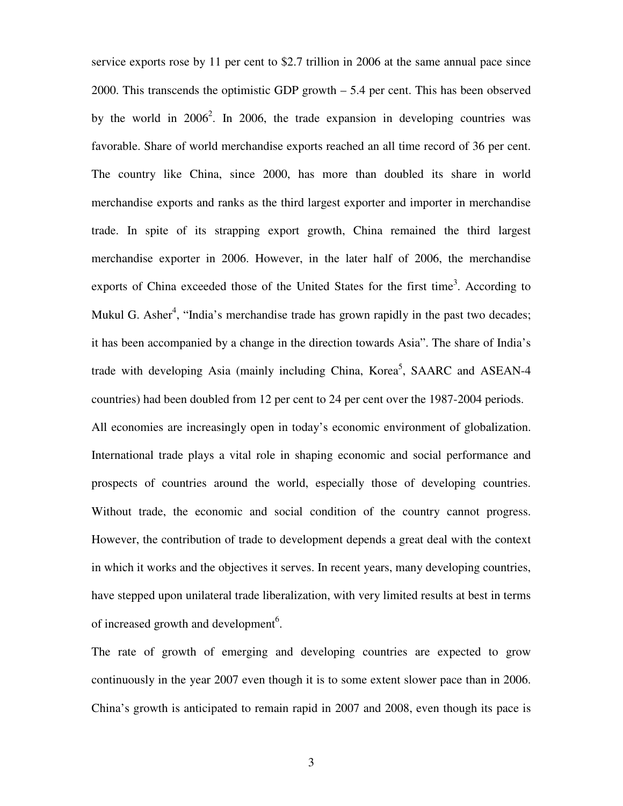service exports rose by 11 per cent to \$2.7 trillion in 2006 at the same annual pace since 2000. This transcends the optimistic GDP growth – 5.4 per cent. This has been observed by the world in  $2006^2$ . In 2006, the trade expansion in developing countries was favorable. Share of world merchandise exports reached an all time record of 36 per cent. The country like China, since 2000, has more than doubled its share in world merchandise exports and ranks as the third largest exporter and importer in merchandise trade. In spite of its strapping export growth, China remained the third largest merchandise exporter in 2006. However, in the later half of 2006, the merchandise exports of China exceeded those of the United States for the first time<sup>3</sup>. According to Mukul G. Asher<sup>4</sup>, "India's merchandise trade has grown rapidly in the past two decades; it has been accompanied by a change in the direction towards Asia". The share of India's trade with developing Asia (mainly including China, Korea<sup>5</sup>, SAARC and ASEAN-4 countries) had been doubled from 12 per cent to 24 per cent over the 1987-2004 periods. All economies are increasingly open in today's economic environment of globalization. International trade plays a vital role in shaping economic and social performance and prospects of countries around the world, especially those of developing countries. Without trade, the economic and social condition of the country cannot progress. However, the contribution of trade to development depends a great deal with the context in which it works and the objectives it serves. In recent years, many developing countries, have stepped upon unilateral trade liberalization, with very limited results at best in terms of increased growth and development<sup>6</sup>.

The rate of growth of emerging and developing countries are expected to grow continuously in the year 2007 even though it is to some extent slower pace than in 2006. China's growth is anticipated to remain rapid in 2007 and 2008, even though its pace is

3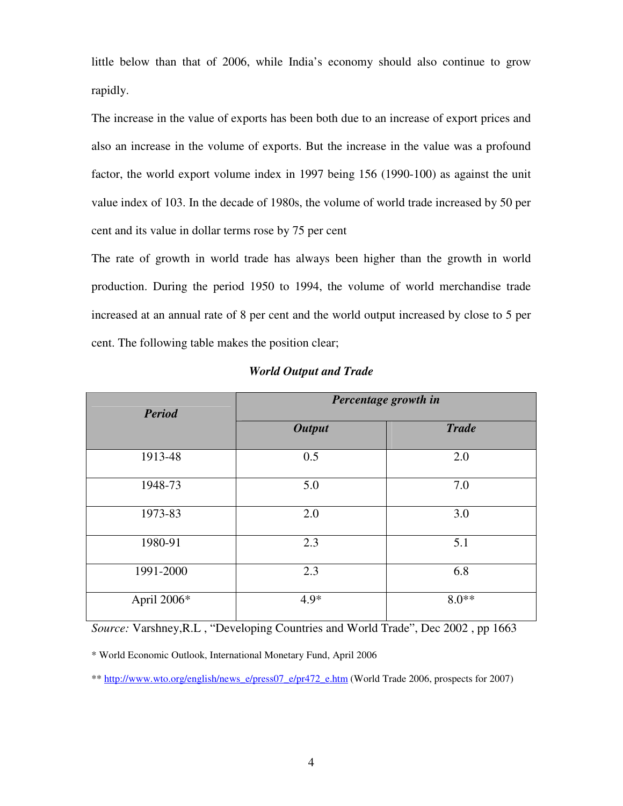little below than that of 2006, while India's economy should also continue to grow rapidly.

The increase in the value of exports has been both due to an increase of export prices and also an increase in the volume of exports. But the increase in the value was a profound factor, the world export volume index in 1997 being 156 (1990-100) as against the unit value index of 103. In the decade of 1980s, the volume of world trade increased by 50 per cent and its value in dollar terms rose by 75 per cent

The rate of growth in world trade has always been higher than the growth in world production. During the period 1950 to 1994, the volume of world merchandise trade increased at an annual rate of 8 per cent and the world output increased by close to 5 per cent. The following table makes the position clear;

| <b>Period</b> | Percentage growth in |              |
|---------------|----------------------|--------------|
|               | <b>Output</b>        | <b>Trade</b> |
| 1913-48       | 0.5                  | 2.0          |
| 1948-73       | 5.0                  | 7.0          |
| 1973-83       | 2.0                  | 3.0          |
| 1980-91       | 2.3                  | 5.1          |
| 1991-2000     | 2.3                  | 6.8          |
| April 2006*   | $4.9*$               | $8.0**$      |

*World Output and Trade* 

*Source:* Varshney,R.L , "Developing Countries and World Trade", Dec 2002 , pp 1663

\* World Economic Outlook, International Monetary Fund, April 2006

\*\* http://www.wto.org/english/news\_e/press07\_e/pr472\_e.htm (World Trade 2006, prospects for 2007)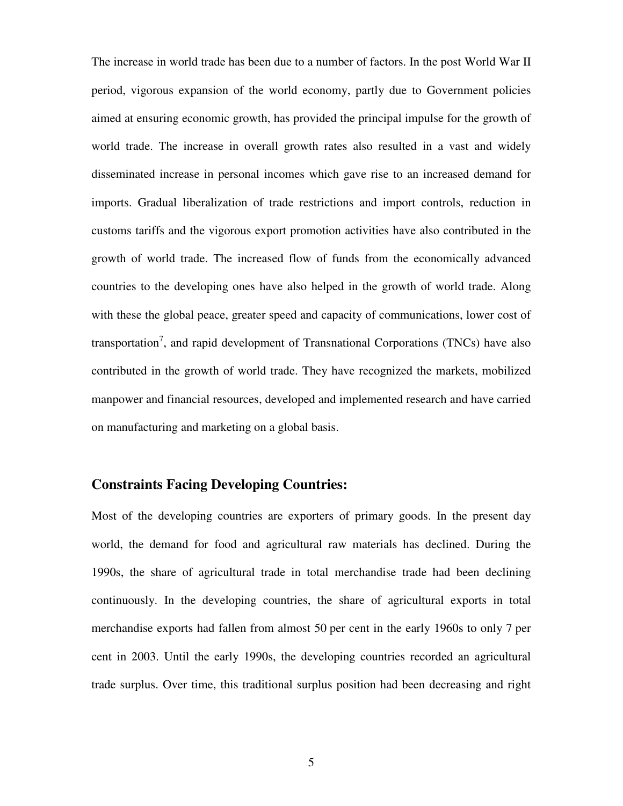The increase in world trade has been due to a number of factors. In the post World War II period, vigorous expansion of the world economy, partly due to Government policies aimed at ensuring economic growth, has provided the principal impulse for the growth of world trade. The increase in overall growth rates also resulted in a vast and widely disseminated increase in personal incomes which gave rise to an increased demand for imports. Gradual liberalization of trade restrictions and import controls, reduction in customs tariffs and the vigorous export promotion activities have also contributed in the growth of world trade. The increased flow of funds from the economically advanced countries to the developing ones have also helped in the growth of world trade. Along with these the global peace, greater speed and capacity of communications, lower cost of transportation<sup>7</sup>, and rapid development of Transnational Corporations (TNCs) have also contributed in the growth of world trade. They have recognized the markets, mobilized manpower and financial resources, developed and implemented research and have carried on manufacturing and marketing on a global basis.

# **Constraints Facing Developing Countries:**

Most of the developing countries are exporters of primary goods. In the present day world, the demand for food and agricultural raw materials has declined. During the 1990s, the share of agricultural trade in total merchandise trade had been declining continuously. In the developing countries, the share of agricultural exports in total merchandise exports had fallen from almost 50 per cent in the early 1960s to only 7 per cent in 2003. Until the early 1990s, the developing countries recorded an agricultural trade surplus. Over time, this traditional surplus position had been decreasing and right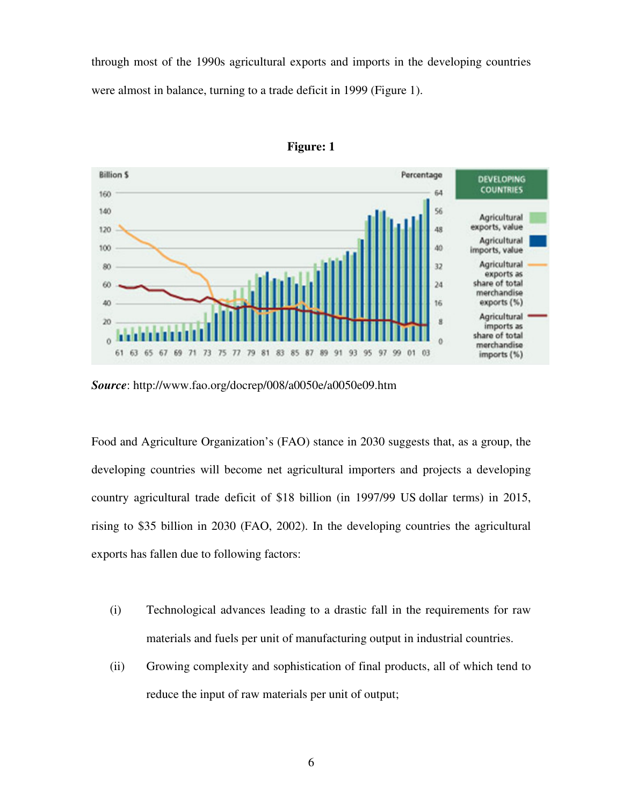through most of the 1990s agricultural exports and imports in the developing countries were almost in balance, turning to a trade deficit in 1999 (Figure 1).



**Figure: 1** 

*Source*: http://www.fao.org/docrep/008/a0050e/a0050e09.htm

Food and Agriculture Organization's (FAO) stance in 2030 suggests that, as a group, the developing countries will become net agricultural importers and projects a developing country agricultural trade deficit of \$18 billion (in 1997/99 US dollar terms) in 2015, rising to \$35 billion in 2030 (FAO, 2002). In the developing countries the agricultural exports has fallen due to following factors:

- (i) Technological advances leading to a drastic fall in the requirements for raw materials and fuels per unit of manufacturing output in industrial countries.
- (ii) Growing complexity and sophistication of final products, all of which tend to reduce the input of raw materials per unit of output;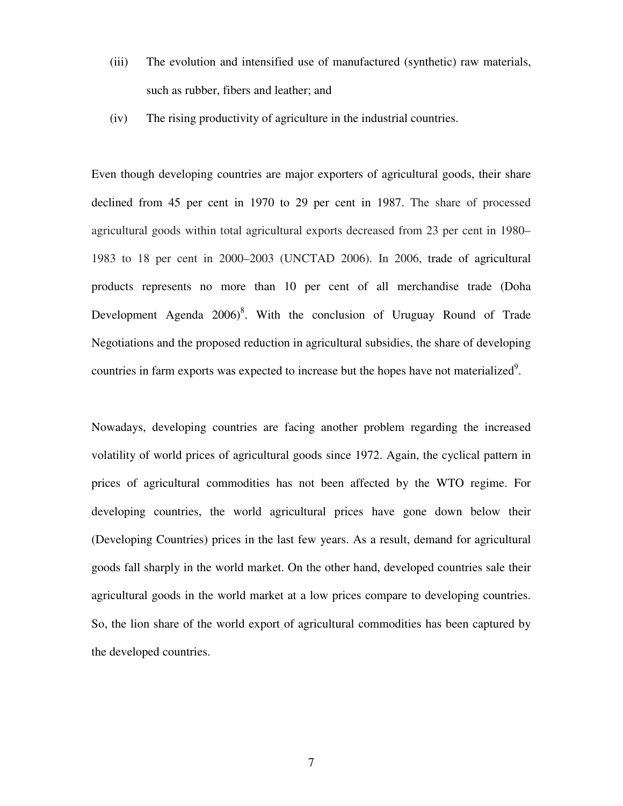- (iii) The evolution and intensified use of manufactured (synthetic) raw materials, such as rubber, fibers and leather; and
- (iv) The rising productivity of agriculture in the industrial countries.

Even though developing countries are major exporters of agricultural goods, their share declined from 45 per cent in 1970 to 29 per cent in 1987. The share of processed agricultural goods within total agricultural exports decreased from 23 per cent in 1980– 1983 to 18 per cent in 2000–2003 (UNCTAD 2006). In 2006, trade of agricultural products represents no more than 10 per cent of all merchandise trade (Doha Development Agenda 2006)<sup>8</sup>. With the conclusion of Uruguay Round of Trade Negotiations and the proposed reduction in agricultural subsidies, the share of developing countries in farm exports was expected to increase but the hopes have not materialized<sup>9</sup>.

Nowadays, developing countries are facing another problem regarding the increased volatility of world prices of agricultural goods since 1972. Again, the cyclical pattern in prices of agricultural commodities has not been affected by the WTO regime. For developing countries, the world agricultural prices have gone down below their (Developing Countries) prices in the last few years. As a result, demand for agricultural goods fall sharply in the world market. On the other hand, developed countries sale their agricultural goods in the world market at a low prices compare to developing countries. So, the lion share of the world export of agricultural commodities has been captured by the developed countries.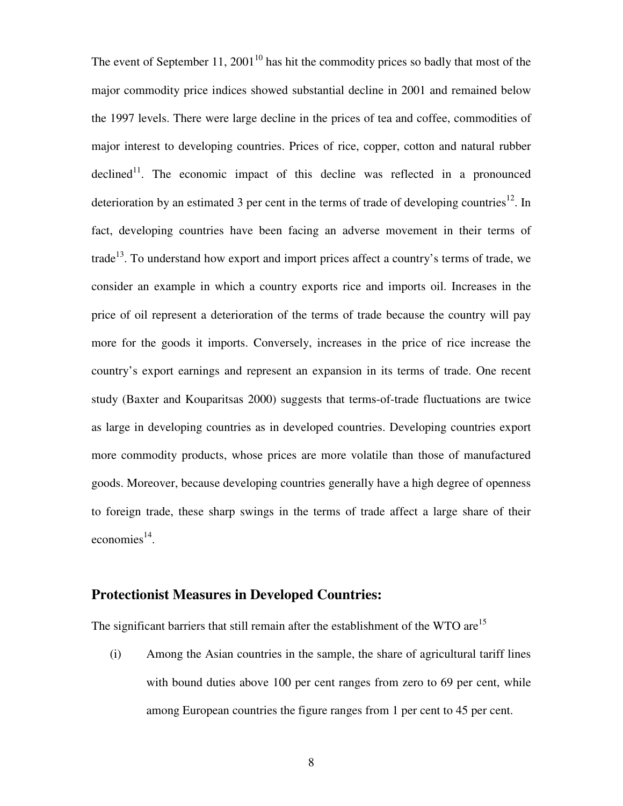The event of September 11, 2001<sup>10</sup> has hit the commodity prices so badly that most of the major commodity price indices showed substantial decline in 2001 and remained below the 1997 levels. There were large decline in the prices of tea and coffee, commodities of major interest to developing countries. Prices of rice, copper, cotton and natural rubber declined<sup>11</sup>. The economic impact of this decline was reflected in a pronounced deterioration by an estimated 3 per cent in the terms of trade of developing countries<sup>12</sup>. In fact, developing countries have been facing an adverse movement in their terms of trade<sup>13</sup>. To understand how export and import prices affect a country's terms of trade, we consider an example in which a country exports rice and imports oil. Increases in the price of oil represent a deterioration of the terms of trade because the country will pay more for the goods it imports. Conversely, increases in the price of rice increase the country's export earnings and represent an expansion in its terms of trade. One recent study (Baxter and Kouparitsas 2000) suggests that terms-of-trade fluctuations are twice as large in developing countries as in developed countries. Developing countries export more commodity products, whose prices are more volatile than those of manufactured goods. Moreover, because developing countries generally have a high degree of openness to foreign trade, these sharp swings in the terms of trade affect a large share of their economies<sup>14</sup>.

# **Protectionist Measures in Developed Countries:**

The significant barriers that still remain after the establishment of the WTO are<sup>15</sup>

(i) Among the Asian countries in the sample, the share of agricultural tariff lines with bound duties above 100 per cent ranges from zero to 69 per cent, while among European countries the figure ranges from 1 per cent to 45 per cent.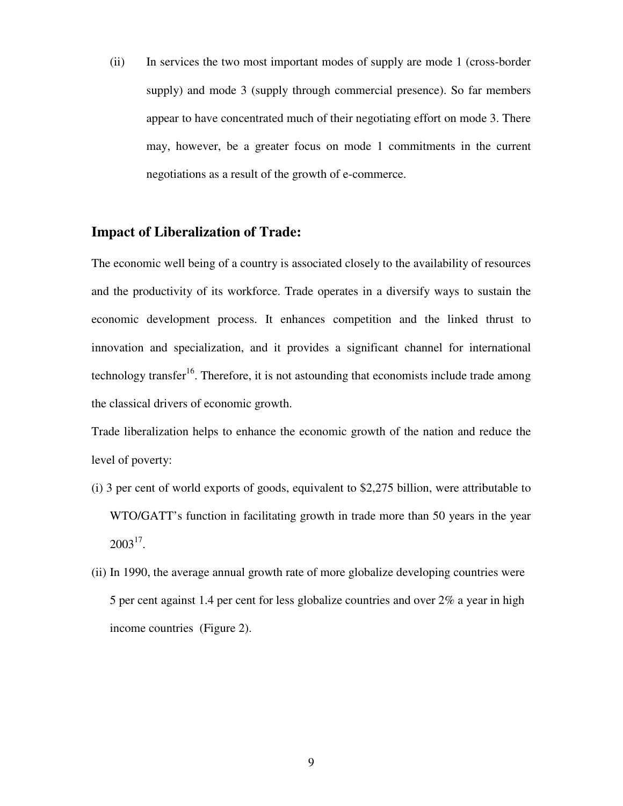(ii) In services the two most important modes of supply are mode 1 (cross-border supply) and mode 3 (supply through commercial presence). So far members appear to have concentrated much of their negotiating effort on mode 3. There may, however, be a greater focus on mode 1 commitments in the current negotiations as a result of the growth of e-commerce.

# **Impact of Liberalization of Trade:**

The economic well being of a country is associated closely to the availability of resources and the productivity of its workforce. Trade operates in a diversify ways to sustain the economic development process. It enhances competition and the linked thrust to innovation and specialization, and it provides a significant channel for international technology transfer<sup>16</sup>. Therefore, it is not astounding that economists include trade among the classical drivers of economic growth.

Trade liberalization helps to enhance the economic growth of the nation and reduce the level of poverty:

- (i) 3 per cent of world exports of goods, equivalent to \$2,275 billion, were attributable to WTO/GATT's function in facilitating growth in trade more than 50 years in the year  $2003^{17}$ .
- (ii) In 1990, the average annual growth rate of more globalize developing countries were 5 per cent against 1.4 per cent for less globalize countries and over 2% a year in high income countries (Figure 2).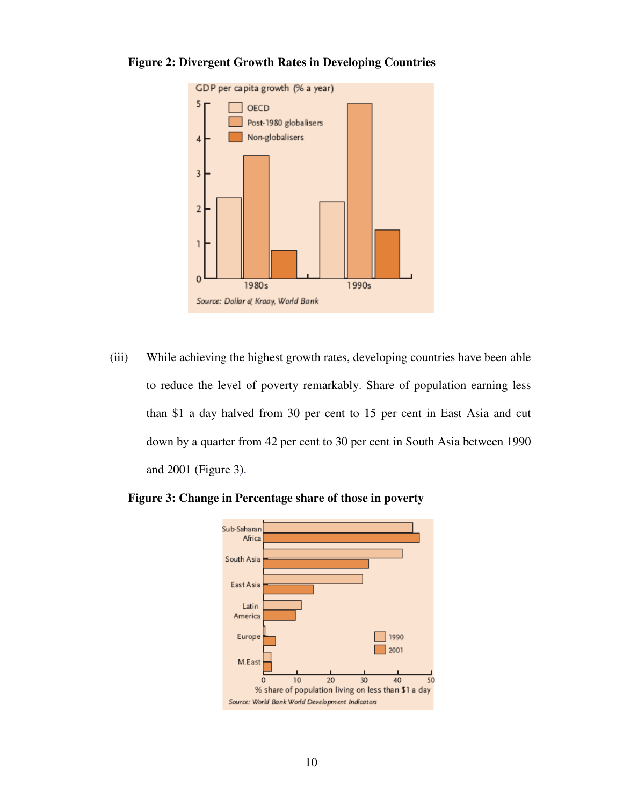

#### **Figure 2: Divergent Growth Rates in Developing Countries**

(iii) While achieving the highest growth rates, developing countries have been able to reduce the level of poverty remarkably. Share of population earning less than \$1 a day halved from 30 per cent to 15 per cent in East Asia and cut down by a quarter from 42 per cent to 30 per cent in South Asia between 1990 and 2001 (Figure 3).



**Figure 3: Change in Percentage share of those in poverty**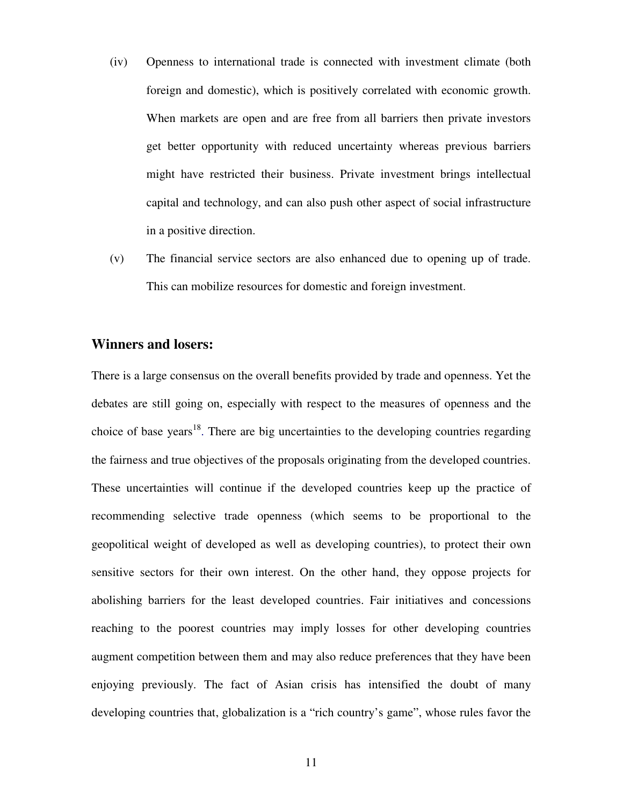- (iv) Openness to international trade is connected with investment climate (both foreign and domestic), which is positively correlated with economic growth. When markets are open and are free from all barriers then private investors get better opportunity with reduced uncertainty whereas previous barriers might have restricted their business. Private investment brings intellectual capital and technology, and can also push other aspect of social infrastructure in a positive direction.
- (v) The financial service sectors are also enhanced due to opening up of trade. This can mobilize resources for domestic and foreign investment.

# **Winners and losers:**

There is a large consensus on the overall benefits provided by trade and openness. Yet the debates are still going on, especially with respect to the measures of openness and the choice of base years<sup>18</sup>. There are big uncertainties to the developing countries regarding the fairness and true objectives of the proposals originating from the developed countries. These uncertainties will continue if the developed countries keep up the practice of recommending selective trade openness (which seems to be proportional to the geopolitical weight of developed as well as developing countries), to protect their own sensitive sectors for their own interest. On the other hand, they oppose projects for abolishing barriers for the least developed countries. Fair initiatives and concessions reaching to the poorest countries may imply losses for other developing countries augment competition between them and may also reduce preferences that they have been enjoying previously. The fact of Asian crisis has intensified the doubt of many developing countries that, globalization is a "rich country's game", whose rules favor the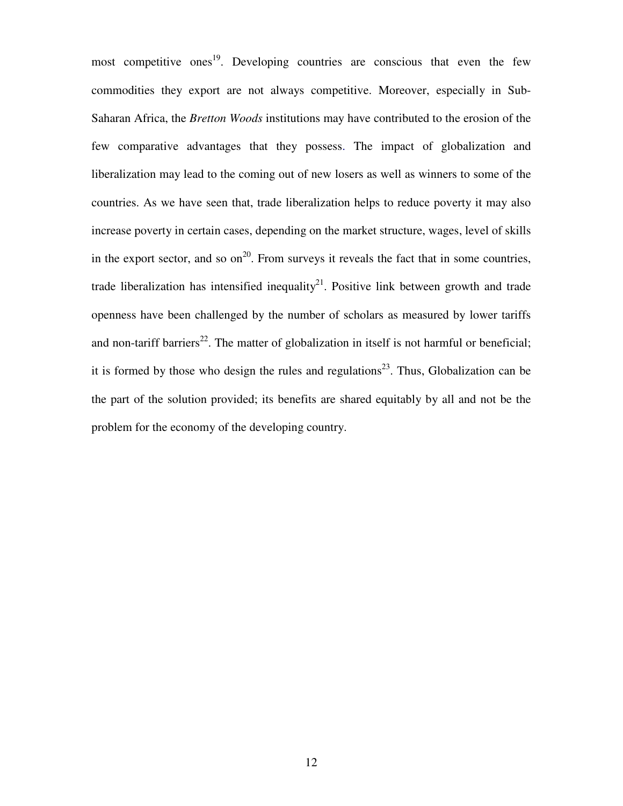most competitive ones<sup>19</sup>. Developing countries are conscious that even the few commodities they export are not always competitive. Moreover, especially in Sub-Saharan Africa, the *Bretton Woods* institutions may have contributed to the erosion of the few comparative advantages that they possess. The impact of globalization and liberalization may lead to the coming out of new losers as well as winners to some of the countries. As we have seen that, trade liberalization helps to reduce poverty it may also increase poverty in certain cases, depending on the market structure, wages, level of skills in the export sector, and so on<sup>20</sup>. From surveys it reveals the fact that in some countries, trade liberalization has intensified inequality<sup>21</sup>. Positive link between growth and trade openness have been challenged by the number of scholars as measured by lower tariffs and non-tariff barriers<sup>22</sup>. The matter of globalization in itself is not harmful or beneficial; it is formed by those who design the rules and regulations<sup>23</sup>. Thus, Globalization can be the part of the solution provided; its benefits are shared equitably by all and not be the problem for the economy of the developing country.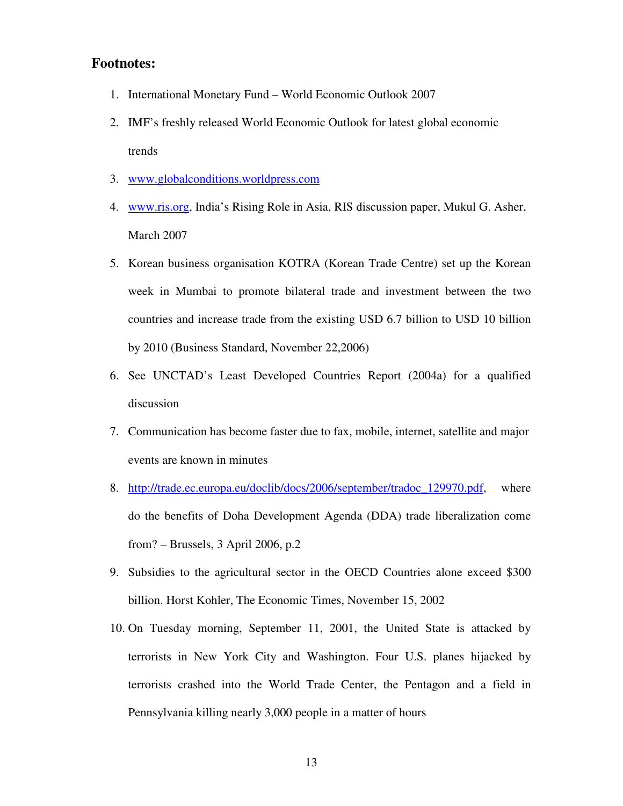# **Footnotes:**

- 1. International Monetary Fund World Economic Outlook 2007
- 2. IMF's freshly released World Economic Outlook for latest global economic trends
- 3. www.globalconditions.worldpress.com
- 4. www.ris.org, India's Rising Role in Asia, RIS discussion paper, Mukul G. Asher, March 2007
- 5. Korean business organisation KOTRA (Korean Trade Centre) set up the Korean week in Mumbai to promote bilateral trade and investment between the two countries and increase trade from the existing USD 6.7 billion to USD 10 billion by 2010 (Business Standard, November 22,2006)
- 6. See UNCTAD's Least Developed Countries Report (2004a) for a qualified discussion
- 7. Communication has become faster due to fax, mobile, internet, satellite and major events are known in minutes
- 8. http://trade.ec.europa.eu/doclib/docs/2006/september/tradoc 129970.pdf, where do the benefits of Doha Development Agenda (DDA) trade liberalization come from? – Brussels, 3 April 2006, p.2
- 9. Subsidies to the agricultural sector in the OECD Countries alone exceed \$300 billion. Horst Kohler, The Economic Times, November 15, 2002
- 10. On Tuesday morning, September 11, 2001, the United State is attacked by terrorists in New York City and Washington. Four U.S. planes hijacked by terrorists crashed into the World Trade Center, the Pentagon and a field in Pennsylvania killing nearly 3,000 people in a matter of hours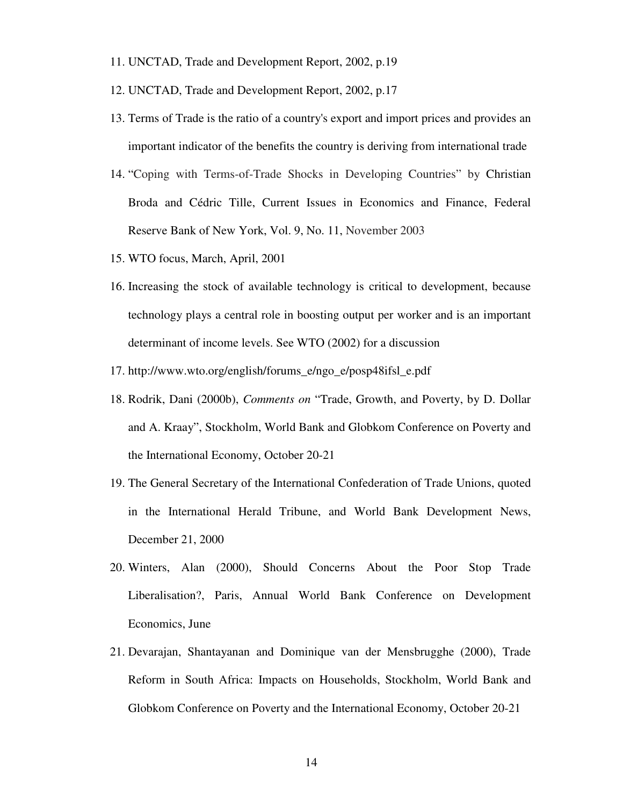- 11. UNCTAD, Trade and Development Report, 2002, p.19
- 12. UNCTAD, Trade and Development Report, 2002, p.17
- 13. Terms of Trade is the ratio of a country's export and import prices and provides an important indicator of the benefits the country is deriving from international trade
- 14. "Coping with Terms-of-Trade Shocks in Developing Countries" by Christian Broda and Cédric Tille, Current Issues in Economics and Finance, Federal Reserve Bank of New York, Vol. 9, No. 11, November 2003
- 15. WTO focus, March, April, 2001
- 16. Increasing the stock of available technology is critical to development, because technology plays a central role in boosting output per worker and is an important determinant of income levels. See WTO (2002) for a discussion
- 17. http://www.wto.org/english/forums\_e/ngo\_e/posp48ifsl\_e.pdf
- 18. Rodrik, Dani (2000b), *Comments on* "Trade, Growth, and Poverty, by D. Dollar and A. Kraay", Stockholm, World Bank and Globkom Conference on Poverty and the International Economy, October 20-21
- 19. The General Secretary of the International Confederation of Trade Unions, quoted in the International Herald Tribune, and World Bank Development News, December 21, 2000
- 20. Winters, Alan (2000), Should Concerns About the Poor Stop Trade Liberalisation?, Paris, Annual World Bank Conference on Development Economics, June
- 21. Devarajan, Shantayanan and Dominique van der Mensbrugghe (2000), Trade Reform in South Africa: Impacts on Households, Stockholm, World Bank and Globkom Conference on Poverty and the International Economy, October 20-21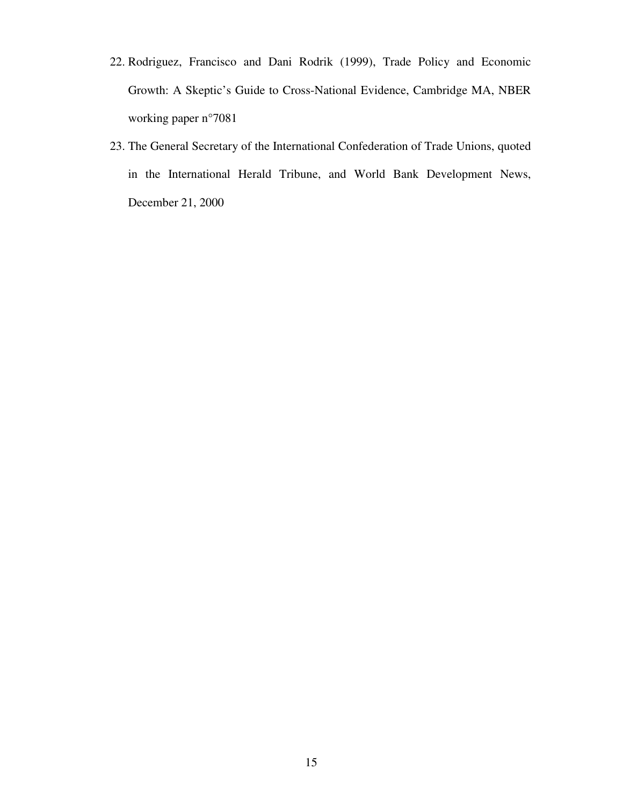- 22. Rodriguez, Francisco and Dani Rodrik (1999), Trade Policy and Economic Growth: A Skeptic's Guide to Cross-National Evidence, Cambridge MA, NBER working paper n°7081
- 23. The General Secretary of the International Confederation of Trade Unions, quoted in the International Herald Tribune, and World Bank Development News, December 21, 2000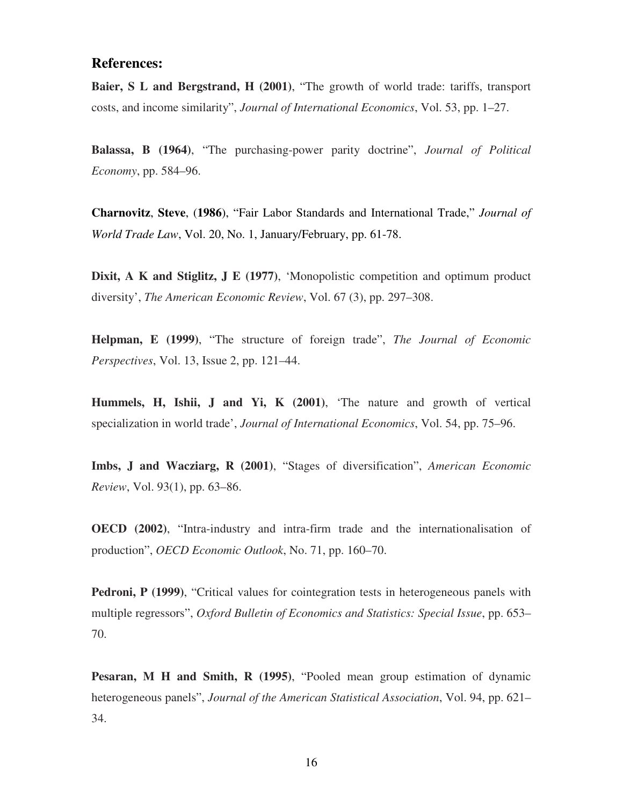### **References:**

**Baier, S L and Bergstrand, H (2001)**, "The growth of world trade: tariffs, transport costs, and income similarity", *Journal of International Economics*, Vol. 53, pp. 1–27.

**Balassa, B (1964)**, "The purchasing-power parity doctrine", *Journal of Political Economy*, pp. 584–96.

**Charnovitz**, **Steve**, (**1986**), "Fair Labor Standards and International Trade," *Journal of World Trade Law*, Vol. 20, No. 1, January/February, pp. 61-78.

**Dixit, A K and Stiglitz, J E (1977), 'Monopolistic competition and optimum product** diversity', *The American Economic Review*, Vol. 67 (3), pp. 297–308.

**Helpman, E (1999)**, "The structure of foreign trade", *The Journal of Economic Perspectives*, Vol. 13, Issue 2, pp. 121–44.

**Hummels, H, Ishii, J and Yi, K (2001)**, 'The nature and growth of vertical specialization in world trade', *Journal of International Economics*, Vol. 54, pp. 75–96.

**Imbs, J and Wacziarg, R (2001)**, "Stages of diversification", *American Economic Review*, Vol. 93(1), pp. 63–86.

**OECD (2002)**, "Intra-industry and intra-firm trade and the internationalisation of production", *OECD Economic Outlook*, No. 71, pp. 160–70.

**Pedroni, P (1999)**, "Critical values for cointegration tests in heterogeneous panels with multiple regressors", *Oxford Bulletin of Economics and Statistics: Special Issue*, pp. 653– 70.

**Pesaran, M H and Smith, R (1995)**, "Pooled mean group estimation of dynamic heterogeneous panels", *Journal of the American Statistical Association*, Vol. 94, pp. 621– 34.